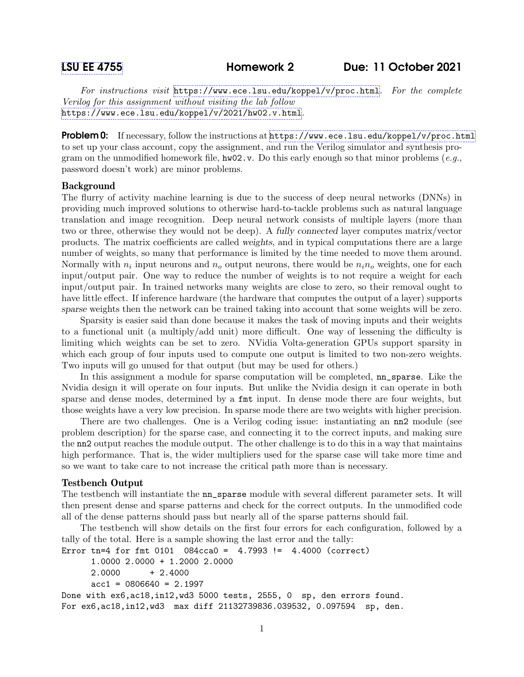For instructions visit <https://www.ece.lsu.edu/koppel/v/proc.html>. For the complete Verilog for this assignment without visiting the lab follow <https://www.ece.lsu.edu/koppel/v/2021/hw02.v.html>.

Problem 0: If necessary, follow the instructions at <https://www.ece.lsu.edu/koppel/v/proc.html> to set up your class account, copy the assignment, and run the Verilog simulator and synthesis program on the unmodified homework file,  $hw02.v$ . Do this early enough so that minor problems (e.g., password doesn't work) are minor problems.

## Background

The flurry of activity machine learning is due to the success of deep neural networks (DNNs) in providing much improved solutions to otherwise hard-to-tackle problems such as natural language translation and image recognition. Deep neural network consists of multiple layers (more than two or three, otherwise they would not be deep). A fully connected layer computes matrix/vector products. The matrix coefficients are called weights, and in typical computations there are a large number of weights, so many that performance is limited by the time needed to move them around. Normally with  $n_i$  input neurons and  $n_o$  output neurons, there would be  $n_i n_o$  weights, one for each input/output pair. One way to reduce the number of weights is to not require a weight for each input/output pair. In trained networks many weights are close to zero, so their removal ought to have little effect. If inference hardware (the hardware that computes the output of a layer) supports sparse weights then the network can be trained taking into account that some weights will be zero.

Sparsity is easier said than done because it makes the task of moving inputs and their weights to a functional unit (a multiply/add unit) more difficult. One way of lessening the difficulty is limiting which weights can be set to zero. NVidia Volta-generation GPUs support sparsity in which each group of four inputs used to compute one output is limited to two non-zero weights. Two inputs will go unused for that output (but may be used for others.)

In this assignment a module for sparse computation will be completed,  $nn$  sparse. Like the Nvidia design it will operate on four inputs. But unlike the Nvidia design it can operate in both sparse and dense modes, determined by a fmt input. In dense mode there are four weights, but those weights have a very low precision. In sparse mode there are two weights with higher precision.

There are two challenges. One is a Verilog coding issue: instantiating an nn2 module (see problem description) for the sparse case, and connecting it to the correct inputs, and making sure the nn2 output reaches the module output. The other challenge is to do this in a way that maintains high performance. That is, the wider multipliers used for the sparse case will take more time and so we want to take care to not increase the critical path more than is necessary.

## Testbench Output

The testbench will instantiate the nn\_sparse module with several different parameter sets. It will then present dense and sparse patterns and check for the correct outputs. In the unmodified code all of the dense patterns should pass but nearly all of the sparse patterns should fail.

The testbench will show details on the first four errors for each configuration, followed by a tally of the total. Here is a sample showing the last error and the tally:

```
Error tn=4 for fmt 0101 084cca0 = 4.7993 != 4.4000 (correct)
     1.0000 2.0000 + 1.2000 2.0000
     2.0000 + 2.4000acc1 = 0806640 = 2.1997Done with ex6,ac18,in12,wd3 5000 tests, 2555, 0 sp, den errors found.
For ex6,ac18,in12,wd3 max diff 21132739836.039532, 0.097594 sp, den.
```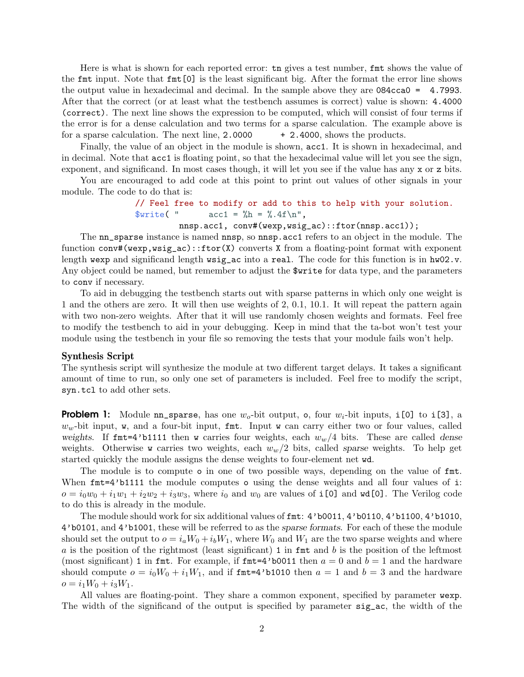Here is what is shown for each reported error: tn gives a test number, fint shows the value of the fmt input. Note that fmt[0] is the least significant big. After the format the error line shows the output value in hexadecimal and decimal. In the sample above they are 084cca0 = 4.7993. After that the correct (or at least what the testbench assumes is correct) value is shown: 4.4000 (correct). The next line shows the expression to be computed, which will consist of four terms if the error is for a dense calculation and two terms for a sparse calculation. The example above is for a sparse calculation. The next line,  $2.0000 + 2.4000$ , shows the products.

Finally, the value of an object in the module is shown, acc1. It is shown in hexadecimal, and in decimal. Note that acc1 is floating point, so that the hexadecimal value will let you see the sign, exponent, and significand. In most cases though, it will let you see if the value has any x or z bits.

You are encouraged to add code at this point to print out values of other signals in your module. The code to do that is:

> // Feel free to modify or add to this to help with your solution.  $\text{Write}$  ("  $\text{acc1} = \frac{\%}{h} = \frac{\%}{h} \cdot 4f \cdot \ln \$

nnsp.acc1, conv#(wexp,wsig\_ac)::ftor(nnsp.acc1));

The nn\_sparse instance is named nnsp, so nnsp.acc1 refers to an object in the module. The function conv#(wexp,wsig\_ac)::ftor(X) converts X from a floating-point format with exponent length wexp and significand length wsig\_ac into a real. The code for this function is in hw02.v. Any object could be named, but remember to adjust the \$write for data type, and the parameters to conv if necessary.

To aid in debugging the testbench starts out with sparse patterns in which only one weight is 1 and the others are zero. It will then use weights of 2, 0.1, 10.1. It will repeat the pattern again with two non-zero weights. After that it will use randomly chosen weights and formats. Feel free to modify the testbench to aid in your debugging. Keep in mind that the ta-bot won't test your module using the testbench in your file so removing the tests that your module fails won't help.

## Synthesis Script

The synthesis script will synthesize the module at two different target delays. It takes a significant amount of time to run, so only one set of parameters is included. Feel free to modify the script, syn.tcl to add other sets.

**Problem 1:** Module nn sparse, has one  $w_0$ -bit output, o, four  $w_i$ -bit inputs, i[0] to i[3], a  $w<sub>w</sub>$ -bit input, w, and a four-bit input, fint. Input w can carry either two or four values, called weights. If  $fmt=4'$ b1111 then w carries four weights, each  $w_w/4$  bits. These are called dense weights. Otherwise w carries two weights, each  $w_w/2$  bits, called sparse weights. To help get started quickly the module assigns the dense weights to four-element net wd.

The module is to compute o in one of two possible ways, depending on the value of fmt. When  $fmt=4'$ b1111 the module computes o using the dense weights and all four values of i:  $o = i_0w_0 + i_1w_1 + i_2w_2 + i_3w_3$ , where  $i_0$  and  $w_0$  are values of i[0] and  $\mathbf{wd}[0]$ . The Verilog code to do this is already in the module.

The module should work for six additional values of fmt: 4'b0011, 4'b0110, 4'b1100, 4'b1010, 4'b0101, and 4'b1001, these will be referred to as the sparse formats. For each of these the module should set the output to  $o = i_a W_0 + i_b W_1$ , where  $W_0$  and  $W_1$  are the two sparse weights and where  $a$  is the position of the rightmost (least significant) 1 in fmt and  $b$  is the position of the leftmost (most significant) 1 in fmt. For example, if  $fmt=4'$ b0011 then  $a=0$  and  $b=1$  and the hardware should compute  $o = i_0W_0 + i_1W_1$ , and if finit = 4'b1010 then  $a = 1$  and  $b = 3$  and the hardware  $o = i_1W_0 + i_3W_1.$ 

All values are floating-point. They share a common exponent, specified by parameter wexp. The width of the significand of the output is specified by parameter sig\_ac, the width of the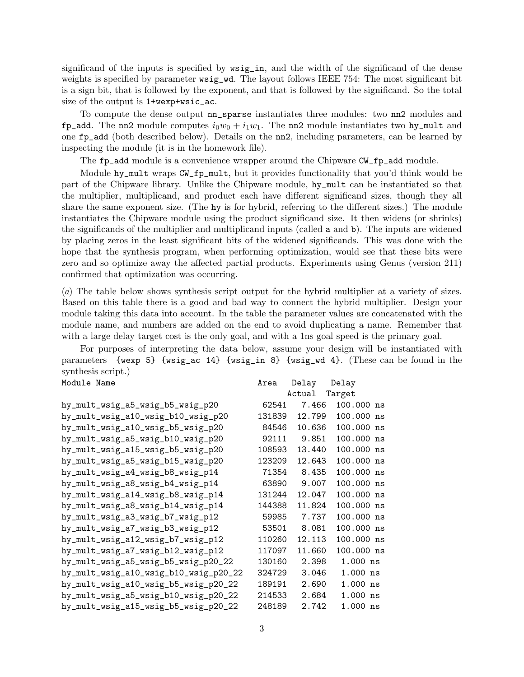significand of the inputs is specified by wsig\_in, and the width of the significand of the dense weights is specified by parameter wsig\_wd. The layout follows IEEE 754: The most significant bit is a sign bit, that is followed by the exponent, and that is followed by the significand. So the total size of the output is 1+wexp+wsic\_ac.

To compute the dense output nn\_sparse instantiates three modules: two nn2 modules and fp\_add. The nn2 module computes  $i_0w_0 + i_1w_1$ . The nn2 module instantiates two hy\_mult and one fp\_add (both described below). Details on the nn2, including parameters, can be learned by inspecting the module (it is in the homework file).

The fp\_add module is a convenience wrapper around the Chipware CW\_fp\_add module.

Module hy\_mult wraps CW\_fp\_mult, but it provides functionality that you'd think would be part of the Chipware library. Unlike the Chipware module, hy\_mult can be instantiated so that the multiplier, multiplicand, and product each have different significand sizes, though they all share the same exponent size. (The hy is for hybrid, referring to the different sizes.) The module instantiates the Chipware module using the product significand size. It then widens (or shrinks) the significands of the multiplier and multiplicand inputs (called a and b). The inputs are widened by placing zeros in the least significant bits of the widened significands. This was done with the hope that the synthesis program, when performing optimization, would see that these bits were zero and so optimize away the affected partial products. Experiments using Genus (version 211) confirmed that optimization was occurring.

(a) The table below shows synthesis script output for the hybrid multiplier at a variety of sizes. Based on this table there is a good and bad way to connect the hybrid multiplier. Design your module taking this data into account. In the table the parameter values are concatenated with the module name, and numbers are added on the end to avoid duplicating a name. Remember that with a large delay target cost is the only goal, and with a 1ns goal speed is the primary goal.

For purposes of interpreting the data below, assume your design will be instantiated with parameters {wexp 5} {wsig\_ac 14} {wsig\_in 8} {wsig\_wd 4}. (These can be found in the synthesis script.) Module Name **Area** Delay Delay

| undar armad                           | n⊥∈u   | peray  | D∈⊥αγ      |  |
|---------------------------------------|--------|--------|------------|--|
|                                       |        | Actual | Target     |  |
| hy_mult_wsig_a5_wsig_b5_wsig_p20      | 62541  | 7.466  | 100.000 ns |  |
| hy_mult_wsig_a10_wsig_b10_wsig_p20    | 131839 | 12.799 | 100.000 ns |  |
| hy_mult_wsig_a10_wsig_b5_wsig_p20     | 84546  | 10.636 | 100.000 ns |  |
| hy_mult_wsig_a5_wsig_b10_wsig_p20     | 92111  | 9.851  | 100.000 ns |  |
| hy_mult_wsig_a15_wsig_b5_wsig_p20     | 108593 | 13.440 | 100.000 ns |  |
| hy_mult_wsig_a5_wsig_b15_wsig_p20     | 123209 | 12.643 | 100.000 ns |  |
| hy_mult_wsig_a4_wsig_b8_wsig_p14      | 71354  | 8.435  | 100.000 ns |  |
| hy_mult_wsig_a8_wsig_b4_wsig_p14      | 63890  | 9.007  | 100.000 ns |  |
| hy_mult_wsig_a14_wsig_b8_wsig_p14     | 131244 | 12.047 | 100.000 ns |  |
| hy_mult_wsig_a8_wsig_b14_wsig_p14     | 144388 | 11.824 | 100.000 ns |  |
| hy_mult_wsig_a3_wsig_b7_wsig_p12      | 59985  | 7.737  | 100.000 ns |  |
| hy_mult_wsig_a7_wsig_b3_wsig_p12      | 53501  | 8.081  | 100.000 ns |  |
| hy_mult_wsig_a12_wsig_b7_wsig_p12     | 110260 | 12.113 | 100.000 ns |  |
| hy_mult_wsig_a7_wsig_b12_wsig_p12     | 117097 | 11.660 | 100.000 ns |  |
| hy_mult_wsig_a5_wsig_b5_wsig_p20_22   | 130160 | 2.398  | $1.000$ ns |  |
| hy_mult_wsig_a10_wsig_b10_wsig_p20_22 | 324729 | 3.046  | $1.000$ ns |  |
| hy_mult_wsig_a10_wsig_b5_wsig_p20_22  | 189191 | 2.690  | $1.000$ ns |  |
| hy_mult_wsig_a5_wsig_b10_wsig_p20_22  | 214533 | 2.684  | $1.000$ ns |  |
| hy_mult_wsig_a15_wsig_b5_wsig_p20_22  | 248189 | 2.742  | $1.000$ ns |  |